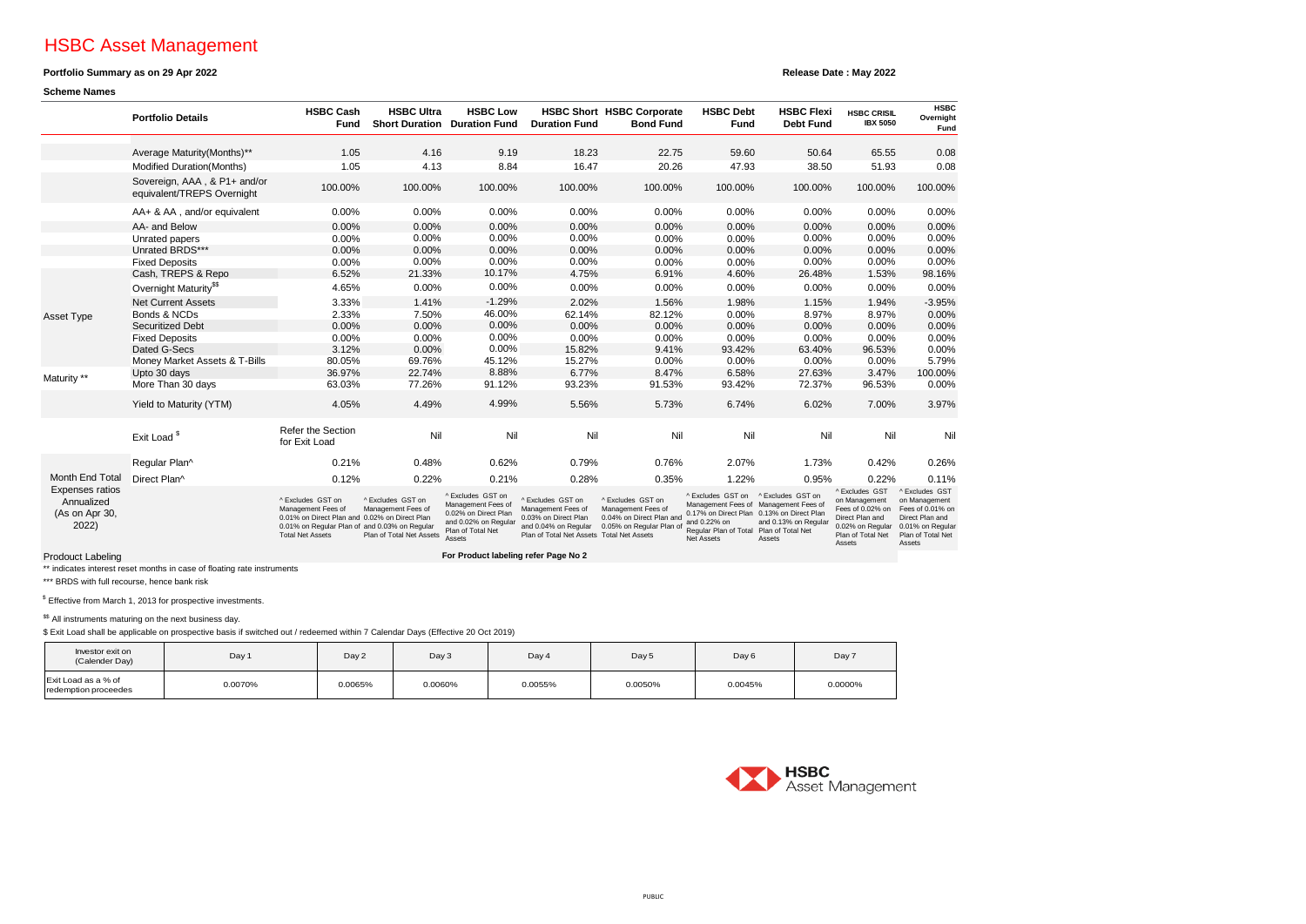# HSBC Asset Management

## **Portfolio Summary as on 29 Apr 2022**

### **Scheme Names**

**Release Date : May 2022**

|                                                                             | <b>Portfolio Details</b>                                   | <b>HSBC Cash</b><br>Fund                                                                                                                                             | <b>HSBC Ultra</b><br><b>Short Duration</b>                          | <b>HSBC Low</b><br><b>Duration Fund</b>                                                                                | <b>Duration Fund</b>                                                                                                                 | <b>HSBC Short HSBC Corporate</b><br><b>Bond Fund</b>                                           | <b>HSBC Debt</b><br>Fund                                                                 | <b>HSBC Flexi</b><br><b>Debt Fund</b>                                                                                                     | <b>HSBC CRISIL</b><br><b>IBX 5050</b>                                                                                     | <b>HSBC</b><br>Overnight<br>Fund                                                                                          |
|-----------------------------------------------------------------------------|------------------------------------------------------------|----------------------------------------------------------------------------------------------------------------------------------------------------------------------|---------------------------------------------------------------------|------------------------------------------------------------------------------------------------------------------------|--------------------------------------------------------------------------------------------------------------------------------------|------------------------------------------------------------------------------------------------|------------------------------------------------------------------------------------------|-------------------------------------------------------------------------------------------------------------------------------------------|---------------------------------------------------------------------------------------------------------------------------|---------------------------------------------------------------------------------------------------------------------------|
|                                                                             | Average Maturity(Months)**                                 | 1.05                                                                                                                                                                 | 4.16                                                                | 9.19                                                                                                                   | 18.23                                                                                                                                | 22.75                                                                                          | 59.60                                                                                    | 50.64                                                                                                                                     | 65.55                                                                                                                     | 0.08                                                                                                                      |
|                                                                             | Modified Duration(Months)                                  | 1.05                                                                                                                                                                 | 4.13                                                                | 8.84                                                                                                                   | 16.47                                                                                                                                | 20.26                                                                                          | 47.93                                                                                    | 38.50                                                                                                                                     | 51.93                                                                                                                     | 0.08                                                                                                                      |
|                                                                             | Sovereign, AAA, & P1+ and/or<br>equivalent/TREPS Overnight | 100.00%                                                                                                                                                              | 100.00%                                                             | 100.00%                                                                                                                | 100.00%                                                                                                                              | 100.00%                                                                                        | 100.00%                                                                                  | 100.00%                                                                                                                                   | 100.00%                                                                                                                   | 100.00%                                                                                                                   |
|                                                                             | AA+ & AA, and/or equivalent                                | 0.00%                                                                                                                                                                | 0.00%                                                               | 0.00%                                                                                                                  | 0.00%                                                                                                                                | 0.00%                                                                                          | 0.00%                                                                                    | 0.00%                                                                                                                                     | 0.00%                                                                                                                     | 0.00%                                                                                                                     |
|                                                                             | AA- and Below                                              | 0.00%                                                                                                                                                                | 0.00%                                                               | 0.00%                                                                                                                  | 0.00%                                                                                                                                | 0.00%                                                                                          | 0.00%                                                                                    | 0.00%                                                                                                                                     | 0.00%                                                                                                                     | 0.00%                                                                                                                     |
|                                                                             | Unrated papers                                             | 0.00%                                                                                                                                                                | 0.00%                                                               | 0.00%                                                                                                                  | 0.00%                                                                                                                                | 0.00%                                                                                          | 0.00%                                                                                    | 0.00%                                                                                                                                     | 0.00%                                                                                                                     | 0.00%                                                                                                                     |
|                                                                             | Unrated BRDS***                                            | 0.00%                                                                                                                                                                | 0.00%                                                               | 0.00%                                                                                                                  | 0.00%                                                                                                                                | 0.00%                                                                                          | 0.00%                                                                                    | 0.00%                                                                                                                                     | 0.00%                                                                                                                     | 0.00%                                                                                                                     |
|                                                                             | <b>Fixed Deposits</b>                                      | 0.00%                                                                                                                                                                | 0.00%                                                               | 0.00%                                                                                                                  | 0.00%                                                                                                                                | 0.00%                                                                                          | 0.00%                                                                                    | 0.00%                                                                                                                                     | 0.00%                                                                                                                     | 0.00%                                                                                                                     |
|                                                                             | Cash, TREPS & Repo                                         | 6.52%                                                                                                                                                                | 21.33%                                                              | 10.17%                                                                                                                 | 4.75%                                                                                                                                | 6.91%                                                                                          | 4.60%                                                                                    | 26.48%                                                                                                                                    | 1.53%                                                                                                                     | 98.16%                                                                                                                    |
|                                                                             | Overnight Maturity <sup>\$\$</sup>                         | 4.65%                                                                                                                                                                | 0.00%                                                               | 0.00%                                                                                                                  | 0.00%                                                                                                                                | 0.00%                                                                                          | 0.00%                                                                                    | 0.00%                                                                                                                                     | 0.00%                                                                                                                     | 0.00%                                                                                                                     |
|                                                                             | <b>Net Current Assets</b>                                  | 3.33%                                                                                                                                                                | 1.41%                                                               | $-1.29%$                                                                                                               | 2.02%                                                                                                                                | 1.56%                                                                                          | 1.98%                                                                                    | 1.15%                                                                                                                                     | 1.94%                                                                                                                     | $-3.95%$                                                                                                                  |
| Asset Type                                                                  | Bonds & NCDs                                               | 2.33%                                                                                                                                                                | 7.50%                                                               | 46.00%                                                                                                                 | 62.14%                                                                                                                               | 82.12%                                                                                         | 0.00%                                                                                    | 8.97%                                                                                                                                     | 8.97%                                                                                                                     | 0.00%                                                                                                                     |
|                                                                             | <b>Securitized Debt</b>                                    | 0.00%                                                                                                                                                                | 0.00%                                                               | 0.00%                                                                                                                  | 0.00%                                                                                                                                | 0.00%                                                                                          | 0.00%                                                                                    | 0.00%                                                                                                                                     | 0.00%                                                                                                                     | 0.00%                                                                                                                     |
|                                                                             | <b>Fixed Deposits</b>                                      | 0.00%                                                                                                                                                                | 0.00%                                                               | 0.00%                                                                                                                  | 0.00%                                                                                                                                | 0.00%                                                                                          | 0.00%                                                                                    | 0.00%                                                                                                                                     | 0.00%                                                                                                                     | 0.00%                                                                                                                     |
|                                                                             | Dated G-Secs                                               | 3.12%                                                                                                                                                                | 0.00%                                                               | 0.00%                                                                                                                  | 15.82%                                                                                                                               | 9.41%                                                                                          | 93.42%                                                                                   | 63.40%                                                                                                                                    | 96.53%                                                                                                                    | 0.00%                                                                                                                     |
|                                                                             | Money Market Assets & T-Bills                              | 80.05%                                                                                                                                                               | 69.76%                                                              | 45.12%                                                                                                                 | 15.27%                                                                                                                               | 0.00%                                                                                          | 0.00%                                                                                    | 0.00%                                                                                                                                     | 0.00%                                                                                                                     | 5.79%                                                                                                                     |
| Maturity **                                                                 | Upto 30 days                                               | 36.97%                                                                                                                                                               | 22.74%                                                              | 8.88%                                                                                                                  | 6.77%                                                                                                                                | 8.47%                                                                                          | 6.58%                                                                                    | 27.63%                                                                                                                                    | 3.47%                                                                                                                     | 100.00%                                                                                                                   |
|                                                                             | More Than 30 days                                          | 63.03%                                                                                                                                                               | 77.26%                                                              | 91.12%                                                                                                                 | 93.23%                                                                                                                               | 91.53%                                                                                         | 93.42%                                                                                   | 72.37%                                                                                                                                    | 96.53%                                                                                                                    | 0.00%                                                                                                                     |
|                                                                             | Yield to Maturity (YTM)                                    | 4.05%                                                                                                                                                                | 4.49%                                                               | 4.99%                                                                                                                  | 5.56%                                                                                                                                | 5.73%                                                                                          | 6.74%                                                                                    | 6.02%                                                                                                                                     | 7.00%                                                                                                                     | 3.97%                                                                                                                     |
|                                                                             | Exit Load <sup>\$</sup>                                    | Refer the Section<br>for Exit Load                                                                                                                                   | Nil                                                                 | Nil                                                                                                                    | Nil                                                                                                                                  | Nil                                                                                            | Nil                                                                                      | Nil                                                                                                                                       | Nil                                                                                                                       | Nil                                                                                                                       |
| Month End Total<br>Expenses ratios<br>Annualized<br>(As on Apr 30,<br>2022) | Regular Plan^                                              | 0.21%                                                                                                                                                                | 0.48%                                                               | 0.62%                                                                                                                  | 0.79%                                                                                                                                | 0.76%                                                                                          | 2.07%                                                                                    | 1.73%                                                                                                                                     | 0.42%                                                                                                                     | 0.26%                                                                                                                     |
|                                                                             | Direct Plan^                                               | 0.12%                                                                                                                                                                | 0.22%                                                               | 0.21%                                                                                                                  | 0.28%                                                                                                                                | 0.35%                                                                                          | 1.22%                                                                                    | 0.95%                                                                                                                                     | 0.22%                                                                                                                     | 0.11%                                                                                                                     |
|                                                                             |                                                            | ^ Excludes GST on<br>Management Fees of<br>0.01% on Direct Plan and 0.02% on Direct Plan<br>0.01% on Regular Plan of and 0.03% on Regular<br><b>Total Net Assets</b> | ^ Excludes GST on<br>Management Fees of<br>Plan of Total Net Assets | ^ Excludes GST on<br>Management Fees of<br>0.02% on Direct Plan<br>and 0.02% on Regular<br>Plan of Total Net<br>Assets | ^ Excludes GST on<br>Management Fees of<br>0.03% on Direct Plan<br>and 0.04% on Regular<br>Plan of Total Net Assets Total Net Assets | ^ Excludes GST on<br>Management Fees of<br>0.04% on Direct Plan and<br>0.05% on Regular Plan o | ^Excludes GST on ^Excludes GST on<br>and 0.22% on<br>Regular Plan of Total<br>Net Assets | Management Fees of Management Fees of<br>0.17% on Direct Plan 0.13% on Direct Plan<br>and 0.13% on Regular<br>Plan of Total Net<br>Assets | ^ Excludes GST<br>on Management<br>Fees of 0.02% on<br>Direct Plan and<br>0.02% on Regular<br>Plan of Total Net<br>Assets | ^ Excludes GST<br>on Management<br>Fees of 0.01% on<br>Direct Plan and<br>0.01% on Regular<br>Plan of Total Net<br>Assets |

**For Product labeling refer Page No 2**

Prodouct Labeling

\*\* indicates interest reset months in case of floating rate instruments

\*\*\* BRDS with full recourse, hence bank risk

<sup>\$</sup> Effective from March 1, 2013 for prospective investments.

\$\$ All instruments maturing on the next business day.

\$ Exit Load shall be applicable on prospective basis if switched out / redeemed within 7 Calendar Days (Effective 20 Oct 2019)

| Investor exit on<br>(Calender Day)          | Day 1   | Day 2   | Day 3   | Day 4   | Day 5   | Day 6   | Day 7   |
|---------------------------------------------|---------|---------|---------|---------|---------|---------|---------|
| Exit Load as a % of<br>redemption proceedes | 0.0070% | 0.0065% | 0.0060% | 0.0055% | 0.0050% | 0.0045% | 0.0000% |